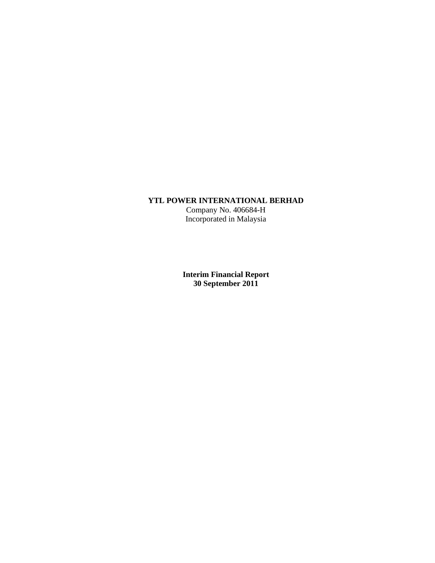## **YTL POWER INTERNATIONAL BERHAD**

Company No. 406684-H Incorporated in Malaysia

**Interim Financial Report 30 September 2011**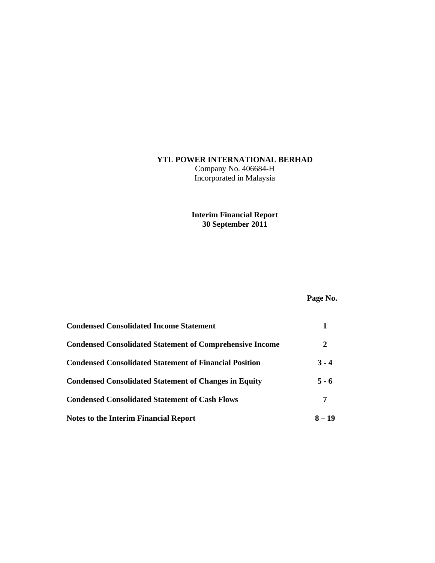## **YTL POWER INTERNATIONAL BERHAD**

Company No. 406684-H Incorporated in Malaysia

## **Interim Financial Report 30 September 2011**

# **Page No.**

| <b>Condensed Consolidated Income Statement</b>                  |          |
|-----------------------------------------------------------------|----------|
| <b>Condensed Consolidated Statement of Comprehensive Income</b> | 2        |
| <b>Condensed Consolidated Statement of Financial Position</b>   | $3 - 4$  |
| <b>Condensed Consolidated Statement of Changes in Equity</b>    | $5 - 6$  |
| <b>Condensed Consolidated Statement of Cash Flows</b>           | 7        |
| <b>Notes to the Interim Financial Report</b>                    | $8 - 19$ |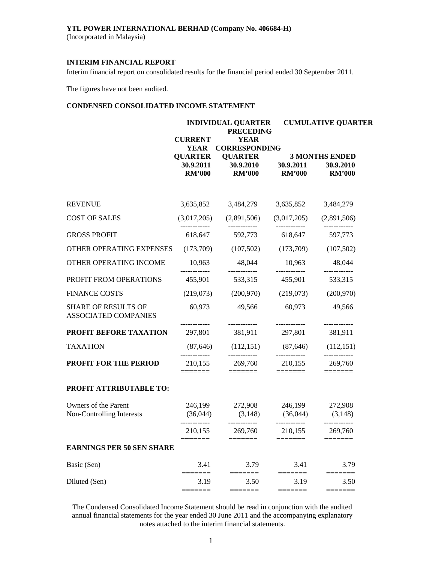## **YTL POWER INTERNATIONAL BERHAD (Company No. 406684-H)**

(Incorporated in Malaysia)

#### **INTERIM FINANCIAL REPORT**

Interim financial report on consolidated results for the financial period ended 30 September 2011.

The figures have not been audited.

## **CONDENSED CONSOLIDATED INCOME STATEMENT**

| <b>INDIVIDUAL QUARTER</b><br><b>PRECEDING</b> |                            |                                                                                                         | <b>CUMULATIVE QUARTER</b>                                                                                                                                                                                                |  |  |  |
|-----------------------------------------------|----------------------------|---------------------------------------------------------------------------------------------------------|--------------------------------------------------------------------------------------------------------------------------------------------------------------------------------------------------------------------------|--|--|--|
| <b>CURRENT</b><br><b>YEAR</b>                 | <b>YEAR</b>                |                                                                                                         |                                                                                                                                                                                                                          |  |  |  |
| 30.9.2011<br><b>RM'000</b>                    | 30.9.2010<br><b>RM'000</b> | 30.9.2011<br><b>RM'000</b>                                                                              | <b>3 MONTHS ENDED</b><br>30.9.2010<br><b>RM'000</b>                                                                                                                                                                      |  |  |  |
| 3,635,852                                     | 3,484,279                  | 3,635,852                                                                                               | 3,484,279                                                                                                                                                                                                                |  |  |  |
|                                               | (2,891,506)                |                                                                                                         | (2,891,506)                                                                                                                                                                                                              |  |  |  |
|                                               | 592,773                    |                                                                                                         | 597,773                                                                                                                                                                                                                  |  |  |  |
| OTHER OPERATING EXPENSES<br>(173,709)         |                            |                                                                                                         | (107, 502)                                                                                                                                                                                                               |  |  |  |
| 10,963                                        | 48,044                     | 10,963                                                                                                  | 48,044<br>------------                                                                                                                                                                                                   |  |  |  |
| 455,901                                       | 533,315                    | 455,901                                                                                                 | 533,315                                                                                                                                                                                                                  |  |  |  |
| (219,073)                                     | (200, 970)                 | (219,073)                                                                                               | (200,970)                                                                                                                                                                                                                |  |  |  |
| 60,973                                        | 49,566                     | 60,973                                                                                                  | 49,566<br>------------                                                                                                                                                                                                   |  |  |  |
| 297,801                                       | 381,911                    | 297,801                                                                                                 | 381,911                                                                                                                                                                                                                  |  |  |  |
|                                               |                            |                                                                                                         | (112, 151)                                                                                                                                                                                                               |  |  |  |
|                                               | 269,760                    |                                                                                                         | 269,760                                                                                                                                                                                                                  |  |  |  |
|                                               |                            |                                                                                                         |                                                                                                                                                                                                                          |  |  |  |
| (36,044)                                      | 272,908<br>(3,148)         | 246,199                                                                                                 | 272,908<br>(3,148)                                                                                                                                                                                                       |  |  |  |
| 210,155                                       | 269,760                    |                                                                                                         | 269,760                                                                                                                                                                                                                  |  |  |  |
| <b>EARNINGS PER 50 SEN SHARE</b>              |                            |                                                                                                         |                                                                                                                                                                                                                          |  |  |  |
| 3.41                                          | 3.79                       | 3.41                                                                                                    | 3.79                                                                                                                                                                                                                     |  |  |  |
| 3.19                                          | 3.50                       | 3.19                                                                                                    | ======<br>3.50                                                                                                                                                                                                           |  |  |  |
|                                               | <b>QUARTER</b><br>≡≡≡≡     | <b>QUARTER</b><br>(3,017,205)<br>618,647<br>------------<br>210,155<br>246,199<br>------------<br>===== | <b>CORRESPONDING</b><br>(3,017,205)<br>618,647<br>(107,502)<br>(173,709)<br>------------<br>------------<br>$(87,646)$ $(112,151)$ $(87,646)$<br>------------<br>210,155<br>(36, 044)<br>------------<br>210,155<br>==== |  |  |  |

The Condensed Consolidated Income Statement should be read in conjunction with the audited annual financial statements for the year ended 30 June 2011 and the accompanying explanatory notes attached to the interim financial statements.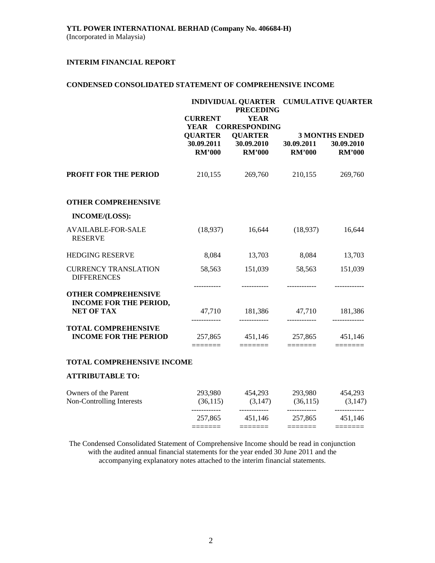## **CONDENSED CONSOLIDATED STATEMENT OF COMPREHENSIVE INCOME**

|                                                            | INDIVIDUAL QUARTER CUMULATIVE QUARTER<br><b>PRECEDING</b> |                                                            |                         |                                                    |  |
|------------------------------------------------------------|-----------------------------------------------------------|------------------------------------------------------------|-------------------------|----------------------------------------------------|--|
|                                                            | <b>CURRENT</b><br><b>YEAR</b>                             | <b>YEAR</b><br><b>CORRESPONDING</b>                        |                         |                                                    |  |
|                                                            | <b>QUARTER</b><br>30.09.2011                              | <b>QUARTER</b><br>30.09.2010                               | 30.09.2011              | <b>3 MONTHS ENDED</b><br>30.09.2010                |  |
|                                                            | <b>RM'000</b>                                             | <b>RM'000</b>                                              | <b>RM'000</b>           | <b>RM'000</b>                                      |  |
| <b>PROFIT FOR THE PERIOD</b>                               | 210,155                                                   | 269,760                                                    | 210,155                 | 269,760                                            |  |
| <b>OTHER COMPREHENSIVE</b>                                 |                                                           |                                                            |                         |                                                    |  |
| INCOME/(LOSS):                                             |                                                           |                                                            |                         |                                                    |  |
| <b>AVAILABLE-FOR-SALE</b><br><b>RESERVE</b>                | (18,937)                                                  | 16,644                                                     | (18,937)                | 16,644                                             |  |
| <b>HEDGING RESERVE</b>                                     | 8,084                                                     | 13,703                                                     | 8,084                   | 13,703                                             |  |
| <b>CURRENCY TRANSLATION</b><br><b>DIFFERENCES</b>          | 58,563                                                    | 151,039                                                    | 58,563                  | 151,039                                            |  |
| <b>OTHER COMPREHENSIVE</b>                                 |                                                           |                                                            |                         |                                                    |  |
| <b>INCOME FOR THE PERIOD,</b><br><b>NET OF TAX</b>         |                                                           | 47,710 181,386 47,710 181,386<br>____________              |                         |                                                    |  |
| <b>TOTAL COMPREHENSIVE</b><br><b>INCOME FOR THE PERIOD</b> |                                                           | 257,865 451,146 257,865 451,146<br>$=$ $=$ $=$ $=$ $=$ $=$ | $=$ $=$ $=$ $=$ $=$ $=$ | $\equiv \equiv \equiv \equiv \equiv \equiv \equiv$ |  |
| <b>TOTAL COMPREHENSIVE INCOME</b>                          |                                                           |                                                            |                         |                                                    |  |
| <b>ATTRIBUTABLE TO:</b>                                    |                                                           |                                                            |                         |                                                    |  |
| Owners of the Parent                                       |                                                           | 293,980 454,293                                            |                         | 293,980 454,293                                    |  |
| Non-Controlling Interests                                  |                                                           | $(36,115)$ $(3,147)$ $(36,115)$ $(3,147)$                  |                         |                                                    |  |

The Condensed Consolidated Statement of Comprehensive Income should be read in conjunction with the audited annual financial statements for the year ended 30 June 2011 and the accompanying explanatory notes attached to the interim financial statements.

 257,865 451,146 257,865 451,146 ======= ======= ======= =======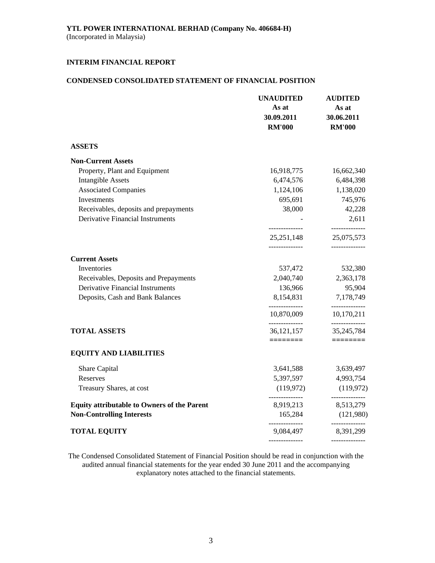## **CONDENSED CONSOLIDATED STATEMENT OF FINANCIAL POSITION**

|                                                    | <b>UNAUDITED</b><br>As at<br>30.09.2011<br><b>RM'000</b> | <b>AUDITED</b><br>As at<br>30.06.2011<br><b>RM'000</b> |
|----------------------------------------------------|----------------------------------------------------------|--------------------------------------------------------|
| <b>ASSETS</b>                                      |                                                          |                                                        |
| <b>Non-Current Assets</b>                          |                                                          |                                                        |
| Property, Plant and Equipment                      | 16,918,775                                               | 16,662,340                                             |
| <b>Intangible Assets</b>                           | 6,474,576                                                | 6,484,398                                              |
| <b>Associated Companies</b>                        | 1,124,106                                                | 1,138,020                                              |
| Investments                                        | 695,691                                                  | 745,976                                                |
| Receivables, deposits and prepayments              | 38,000                                                   | 42,228                                                 |
| <b>Derivative Financial Instruments</b>            | --------------                                           | 2,611<br>--------------                                |
|                                                    | 25, 251, 148                                             | 25,075,573                                             |
| <b>Current Assets</b>                              | --------------                                           | ______________                                         |
| Inventories                                        | 537,472                                                  | 532,380                                                |
| Receivables, Deposits and Prepayments              | 2,040,740                                                | 2,363,178                                              |
| <b>Derivative Financial Instruments</b>            | 136,966                                                  | 95,904                                                 |
| Deposits, Cash and Bank Balances                   | 8,154,831                                                | 7,178,749                                              |
|                                                    | --------------<br>10,870,009                             | --------------<br>10,170,211                           |
| <b>TOTAL ASSETS</b>                                | --------------<br>36, 121, 157                           | ------------<br>35, 245, 784                           |
| <b>EQUITY AND LIABILITIES</b>                      | ========                                                 |                                                        |
| Share Capital                                      | 3,641,588                                                | 3,639,497                                              |
| Reserves                                           | 5,397,597                                                | 4,993,754                                              |
| Treasury Shares, at cost                           | (119, 972)                                               | (119, 972)                                             |
| <b>Equity attributable to Owners of the Parent</b> | 8,919,213                                                | --------------<br>8,513,279                            |
| <b>Non-Controlling Interests</b>                   | 165,284                                                  | (121,980)                                              |
| <b>TOTAL EQUITY</b>                                | 9,084,497                                                | -------------<br>8,391,299                             |
|                                                    | --------------                                           | --------------                                         |

The Condensed Consolidated Statement of Financial Position should be read in conjunction with the audited annual financial statements for the year ended 30 June 2011 and the accompanying explanatory notes attached to the financial statements.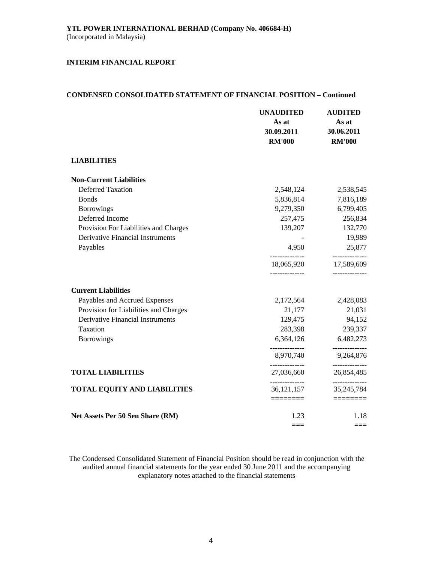## **CONDENSED CONSOLIDATED STATEMENT OF FINANCIAL POSITION – Continued**

|                                         | <b>UNAUDITED</b><br>As at<br>30.09.2011<br><b>RM'000</b> | <b>AUDITED</b><br>As at<br>30.06.2011<br><b>RM'000</b> |
|-----------------------------------------|----------------------------------------------------------|--------------------------------------------------------|
| <b>LIABILITIES</b>                      |                                                          |                                                        |
| <b>Non-Current Liabilities</b>          |                                                          |                                                        |
| <b>Deferred Taxation</b>                | 2,548,124                                                | 2,538,545                                              |
| <b>Bonds</b>                            | 5,836,814                                                | 7,816,189                                              |
| <b>Borrowings</b>                       | 9,279,350                                                | 6,799,405                                              |
| Deferred Income                         | 257,475                                                  | 256,834                                                |
| Provision For Liabilities and Charges   | 139,207                                                  | 132,770                                                |
| <b>Derivative Financial Instruments</b> |                                                          | 19,989                                                 |
| Payables                                | 4,950                                                    | 25,877                                                 |
|                                         | ______________<br>18,065,920                             | -------------<br>17,589,609                            |
| <b>Current Liabilities</b>              |                                                          |                                                        |
| Payables and Accrued Expenses           | 2,172,564                                                | 2,428,083                                              |
| Provision for Liabilities and Charges   | 21,177                                                   | 21,031                                                 |
| Derivative Financial Instruments        | 129,475                                                  | 94,152                                                 |
| Taxation                                | 283,398                                                  | 239,337                                                |
| <b>Borrowings</b>                       | 6,364,126                                                | 6,482,273                                              |
|                                         | ______________<br>8,970,740                              | -----------<br>9,264,876                               |
| <b>TOTAL LIABILITIES</b>                | 27,036,660                                               | 26,854,485                                             |
| <b>TOTAL EQUITY AND LIABILITIES</b>     | --------------<br>36, 121, 157                           | --------------<br>35, 245, 784                         |
|                                         | ========                                                 |                                                        |
| Net Assets Per 50 Sen Share (RM)        | 1.23                                                     | 1.18                                                   |
|                                         | $==$                                                     | ===                                                    |

The Condensed Consolidated Statement of Financial Position should be read in conjunction with the audited annual financial statements for the year ended 30 June 2011 and the accompanying explanatory notes attached to the financial statements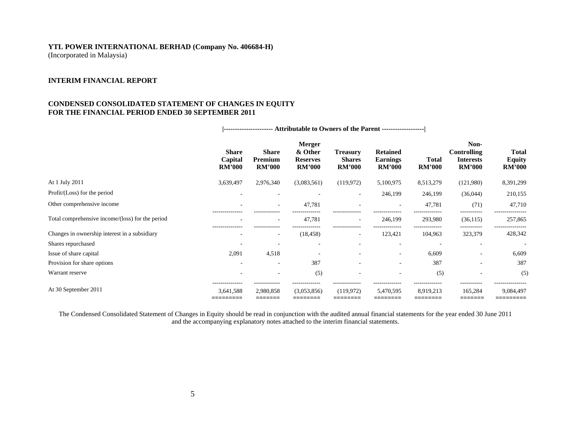# **YTL POWER INTERNATIONAL BERHAD (Company No. 406684-H)**

(Incorporated in Malaysia)

## **INTERIM FINANCIAL REPORT**

#### **CONDENSED CONSOLIDATED STATEMENT OF CHANGES IN EQUITY FOR THE FINANCIAL PERIOD ENDED 30 SEPTEMBER 2011**

|                                                  | Share<br>Capital<br><b>RM'000</b> | <b>Share</b><br>Premium<br><b>RM'000</b>       | <b>Merger</b><br>& Other<br><b>Reserves</b><br><b>RM'000</b> | <b>Treasury</b><br><b>Shares</b><br><b>RM'000</b> | <b>Retained</b><br><b>Earnings</b><br><b>RM'000</b> | Total<br><b>RM'000</b>      | Non-<br>Controlling<br><b>Interests</b><br><b>RM'000</b> | <b>Total</b><br><b>Equity</b><br><b>RM'000</b> |
|--------------------------------------------------|-----------------------------------|------------------------------------------------|--------------------------------------------------------------|---------------------------------------------------|-----------------------------------------------------|-----------------------------|----------------------------------------------------------|------------------------------------------------|
| At 1 July 2011                                   | 3,639,497                         | 2,976,340                                      | (3,083,561)                                                  | (119,972)                                         | 5,100,975                                           | 8,513,279                   | (121,980)                                                | 8,391,299                                      |
| Profit/(Loss) for the period                     | ٠                                 |                                                |                                                              | $\overline{\phantom{a}}$                          | 246,199                                             | 246,199                     | (36,044)                                                 | 210,155                                        |
| Other comprehensive income                       |                                   |                                                | 47,781                                                       | ٠                                                 |                                                     | 47,781                      | (71)                                                     | 47,710                                         |
| Total comprehensive income/(loss) for the period | --------------                    |                                                | 47,781                                                       | ٠                                                 | 246,199                                             | 293,980                     | (36, 115)                                                | 257,865                                        |
| Changes in ownership interest in a subsidiary    |                                   | ٠                                              | (18, 458)                                                    | $\overline{\phantom{a}}$                          | 123,421                                             | 104,963                     | 323,379                                                  | 428,342                                        |
| Shares repurchased                               |                                   |                                                |                                                              |                                                   |                                                     |                             |                                                          |                                                |
| Issue of share capital                           | 2,091                             | 4,518                                          | -                                                            |                                                   | $\overline{\phantom{a}}$                            | 6,609                       | $\overline{\phantom{a}}$                                 | 6,609                                          |
| Provision for share options                      | ٠                                 | $\overline{\phantom{a}}$                       | 387                                                          | ٠                                                 | $\overline{\phantom{a}}$                            | 387                         | $\overline{\phantom{a}}$                                 | 387                                            |
| Warrant reserve                                  |                                   |                                                | (5)                                                          | $\overline{\phantom{a}}$                          |                                                     | (5)                         |                                                          | (5)                                            |
| At 30 September 2011                             | <br>3,641,588<br>________         | ------------<br>2,980,858<br>______<br>_______ | -------------<br>(3,053,856)<br>_______<br>________          | <br>(119,972)                                     | <br>5,470,595                                       | --------------<br>8,919,213 | .<br>165,284                                             | ---------------<br>9,084,497<br>____________   |

 **|---------------------- Attributable to Owners of the Parent -------------------|** 

The Condensed Consolidated Statement of Changes in Equity should be read in conjunction with the audited annual financial statements for the year ended 30 June 2011 and the accompanying explanatory notes attached to the interim financial statements.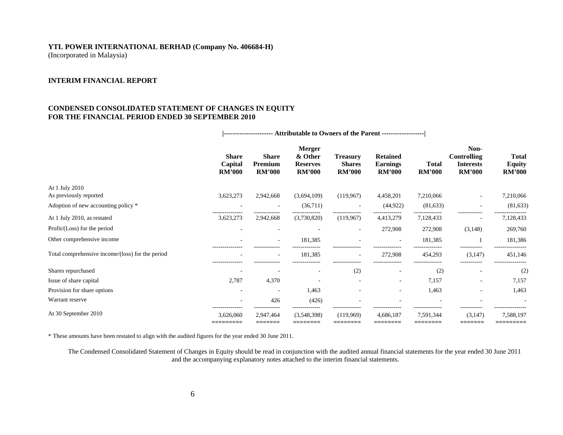# **YTL POWER INTERNATIONAL BERHAD (Company No. 406684-H)**

(Incorporated in Malaysia)

#### **INTERIM FINANCIAL REPORT**

#### **CONDENSED CONSOLIDATED STATEMENT OF CHANGES IN EQUITY FOR THE FINANCIAL PERIOD ENDED 30 SEPTEMBER 2010**

|                                                  | ---------------------- Attributable to Owners of the Parent ------------------- |                                          |                                                              |                                                   |                                                     |                                         |                                                                 |                                                |
|--------------------------------------------------|---------------------------------------------------------------------------------|------------------------------------------|--------------------------------------------------------------|---------------------------------------------------|-----------------------------------------------------|-----------------------------------------|-----------------------------------------------------------------|------------------------------------------------|
|                                                  | <b>Share</b><br>Capital<br><b>RM'000</b>                                        | <b>Share</b><br>Premium<br><b>RM'000</b> | <b>Merger</b><br>& Other<br><b>Reserves</b><br><b>RM'000</b> | <b>Treasury</b><br><b>Shares</b><br><b>RM'000</b> | <b>Retained</b><br><b>Earnings</b><br><b>RM'000</b> | <b>Total</b><br><b>RM'000</b>           | Non-<br><b>Controlling</b><br><b>Interests</b><br><b>RM'000</b> | <b>Total</b><br><b>Equity</b><br><b>RM'000</b> |
| At 1 July 2010                                   |                                                                                 |                                          |                                                              |                                                   |                                                     |                                         |                                                                 |                                                |
| As previously reported                           | 3,623,273                                                                       | 2,942,668                                | (3,694,109)                                                  | (119, 967)                                        | 4,458,201                                           | 7,210,066                               |                                                                 | 7,210,066                                      |
| Adoption of new accounting policy *              |                                                                                 |                                          | (36,711)                                                     |                                                   | (44, 922)                                           | (81, 633)                               |                                                                 | (81, 633)                                      |
| At 1 July 2010, as restated                      | 3,623,273                                                                       | 2,942,668                                | (3,730,820)                                                  | (119,967)                                         | 4,413,279                                           | 7,128,433                               |                                                                 | 7,128,433                                      |
| Profit/(Loss) for the period                     |                                                                                 |                                          |                                                              | $\overline{\phantom{a}}$                          | 272,908                                             | 272,908                                 | (3,148)                                                         | 269,760                                        |
| Other comprehensive income                       |                                                                                 |                                          | 181,385                                                      |                                                   |                                                     | 181,385                                 |                                                                 | 181,386                                        |
| Total comprehensive income/(loss) for the period |                                                                                 | ۰<br>                                    | 181,385<br>                                                  | $\overline{\phantom{a}}$<br>--------------        | 272,908                                             | 454,293                                 | (3,147)<br>.                                                    | 451,146                                        |
| Shares repurchased                               |                                                                                 |                                          | ٠                                                            | (2)                                               | $\overline{\phantom{a}}$                            | (2)                                     | $\overline{\phantom{a}}$                                        | (2)                                            |
| Issue of share capital                           | 2,787                                                                           | 4,370                                    |                                                              | $\overline{\phantom{a}}$                          | ٠                                                   | 7,157                                   |                                                                 | 7,157                                          |
| Provision for share options                      |                                                                                 |                                          | 1,463                                                        |                                                   | ٠                                                   | 1,463                                   |                                                                 | 1,463                                          |
| Warrant reserve                                  |                                                                                 | 426                                      | (426)                                                        |                                                   |                                                     |                                         |                                                                 |                                                |
| At 30 September 2010                             | ---------------<br>3,626,060<br>=========                                       | 2,947,464<br>=======                     | (3,548,398)<br>========                                      | --------------<br>(119,969)<br>========           | <br>4,686,187<br>========                           | --------------<br>7,591,344<br>======== | -----------<br>(3,147)<br>=======                               | 7,588,197<br>=========                         |

\* These amounts have been restated to align with the audited figures for the year ended 30 June 2011.

The Condensed Consolidated Statement of Changes in Equity should be read in conjunction with the audited annual financial statements for the year ended 30 June 2011 and the accompanying explanatory notes attached to the interim financial statements.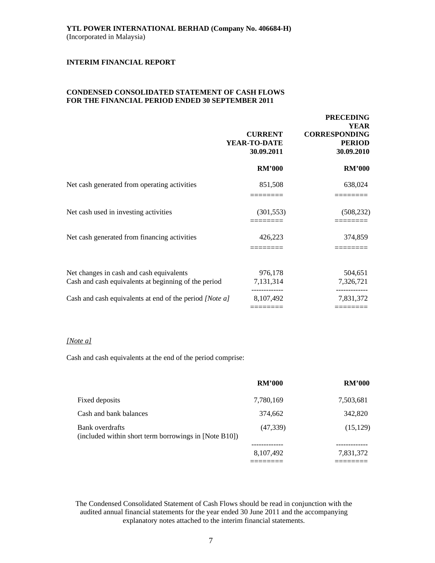#### **CONDENSED CONSOLIDATED STATEMENT OF CASH FLOWS FOR THE FINANCIAL PERIOD ENDED 30 SEPTEMBER 2011**

|                                                                                                  | <b>CURRENT</b><br>YEAR-TO-DATE<br>30.09.2011 | <b>PRECEDING</b><br><b>YEAR</b><br><b>CORRESPONDING</b><br><b>PERIOD</b><br>30.09.2010 |
|--------------------------------------------------------------------------------------------------|----------------------------------------------|----------------------------------------------------------------------------------------|
|                                                                                                  | <b>RM'000</b>                                | <b>RM'000</b>                                                                          |
| Net cash generated from operating activities                                                     | 851,508                                      | 638,024                                                                                |
| Net cash used in investing activities                                                            | (301, 553)                                   | (508, 232)                                                                             |
| Net cash generated from financing activities                                                     | 426,223                                      | 374,859                                                                                |
| Net changes in cash and cash equivalents<br>Cash and cash equivalents at beginning of the period | 976,178<br>7,131,314                         | 504,651<br>7,326,721                                                                   |
| Cash and cash equivalents at end of the period [Note a]                                          | 8,107,492                                    | 7,831,372                                                                              |

## *[Note a]*

Cash and cash equivalents at the end of the period comprise:

|                                                                          | <b>RM'000</b> | <b>RM'000</b> |
|--------------------------------------------------------------------------|---------------|---------------|
| Fixed deposits                                                           | 7,780,169     | 7,503,681     |
| Cash and bank balances                                                   | 374,662       | 342,820       |
| Bank overdrafts<br>(included within short term borrowings in [Note B10]) | (47, 339)     | (15, 129)     |
|                                                                          | 8,107,492     | 7,831,372     |
|                                                                          |               |               |

The Condensed Consolidated Statement of Cash Flows should be read in conjunction with the audited annual financial statements for the year ended 30 June 2011 and the accompanying explanatory notes attached to the interim financial statements.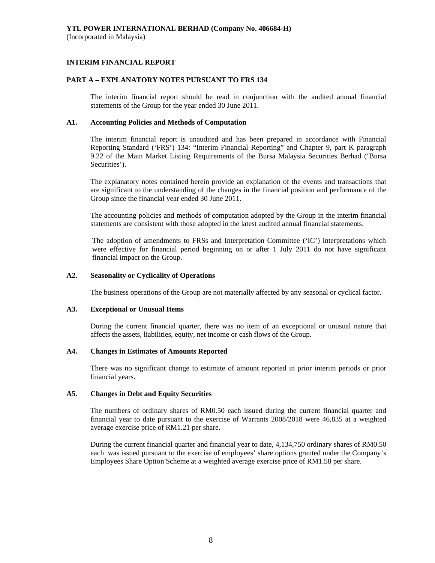## **INTERIM FINANCIAL REPORT**

## **PART A – EXPLANATORY NOTES PURSUANT TO FRS 134**

The interim financial report should be read in conjunction with the audited annual financial statements of the Group for the year ended 30 June 2011.

## **A1. Accounting Policies and Methods of Computation**

The interim financial report is unaudited and has been prepared in accordance with Financial Reporting Standard ('FRS') 134: "Interim Financial Reporting" and Chapter 9, part K paragraph 9.22 of the Main Market Listing Requirements of the Bursa Malaysia Securities Berhad ('Bursa Securities').

The explanatory notes contained herein provide an explanation of the events and transactions that are significant to the understanding of the changes in the financial position and performance of the Group since the financial year ended 30 June 2011.

The accounting policies and methods of computation adopted by the Group in the interim financial statements are consistent with those adopted in the latest audited annual financial statements.

The adoption of amendments to FRSs and Interpretation Committee ('IC') interpretations which were effective for financial period beginning on or after 1 July 2011 do not have significant financial impact on the Group.

## **A2. Seasonality or Cyclicality of Operations**

The business operations of the Group are not materially affected by any seasonal or cyclical factor.

#### **A3. Exceptional or Unusual Items**

 During the current financial quarter, there was no item of an exceptional or unusual nature that affects the assets, liabilities, equity, net income or cash flows of the Group.

## **A4. Changes in Estimates of Amounts Reported**

 There was no significant change to estimate of amount reported in prior interim periods or prior financial years.

#### **A5. Changes in Debt and Equity Securities**

 The numbers of ordinary shares of RM0.50 each issued during the current financial quarter and financial year to date pursuant to the exercise of Warrants 2008/2018 were 46,835 at a weighted average exercise price of RM1.21 per share.

 During the current financial quarter and financial year to date, 4,134,750 ordinary shares of RM0.50 each was issued pursuant to the exercise of employees' share options granted under the Company's Employees Share Option Scheme at a weighted average exercise price of RM1.58 per share.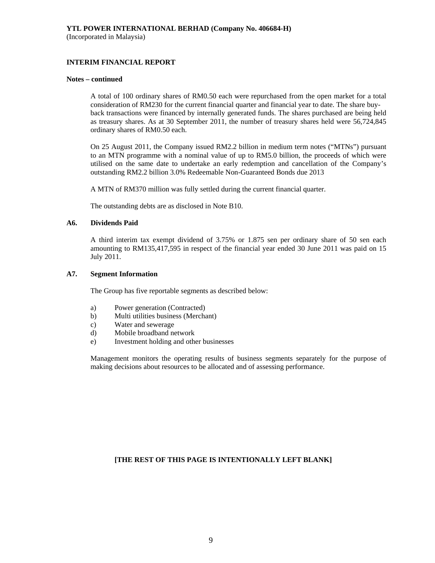## **INTERIM FINANCIAL REPORT**

#### **Notes – continued**

 A total of 100 ordinary shares of RM0.50 each were repurchased from the open market for a total consideration of RM230 for the current financial quarter and financial year to date. The share buy back transactions were financed by internally generated funds. The shares purchased are being held as treasury shares. As at 30 September 2011, the number of treasury shares held were 56,724,845 ordinary shares of RM0.50 each.

 On 25 August 2011, the Company issued RM2.2 billion in medium term notes ("MTNs") pursuant to an MTN programme with a nominal value of up to RM5.0 billion, the proceeds of which were utilised on the same date to undertake an early redemption and cancellation of the Company's outstanding RM2.2 billion 3.0% Redeemable Non-Guaranteed Bonds due 2013

A MTN of RM370 million was fully settled during the current financial quarter.

The outstanding debts are as disclosed in Note B10.

#### **A6. Dividends Paid**

 A third interim tax exempt dividend of 3.75% or 1.875 sen per ordinary share of 50 sen each amounting to RM135,417,595 in respect of the financial year ended 30 June 2011 was paid on 15 July 2011.

## **A7. Segment Information**

The Group has five reportable segments as described below:

- a) Power generation (Contracted)
- b) Multi utilities business (Merchant)
- c) Water and sewerage
- d) Mobile broadband network
- e) Investment holding and other businesses

 Management monitors the operating results of business segments separately for the purpose of making decisions about resources to be allocated and of assessing performance.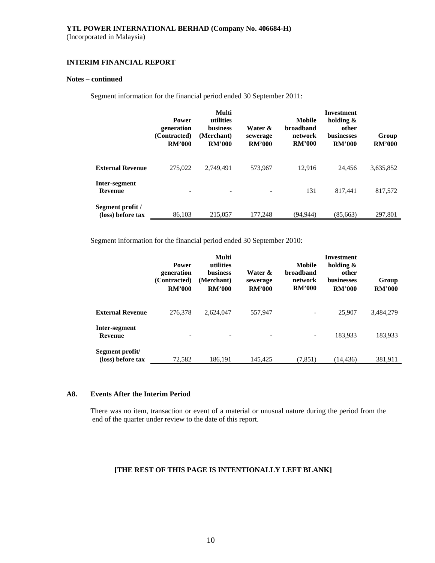## **INTERIM FINANCIAL REPORT**

## **Notes – continued**

Segment information for the financial period ended 30 September 2011:

|                                       | <b>Power</b><br>generation<br>(Contracted)<br><b>RM'000</b> | Multi<br>utilities<br><b>business</b><br>(Merchant)<br><b>RM'000</b> | Water &<br>sewerage<br><b>RM'000</b> | Mobile<br><b>broadband</b><br>network<br><b>RM'000</b> | <b>Investment</b><br>holding &<br>other<br><b>businesses</b><br><b>RM'000</b> | Group<br><b>RM'000</b> |
|---------------------------------------|-------------------------------------------------------------|----------------------------------------------------------------------|--------------------------------------|--------------------------------------------------------|-------------------------------------------------------------------------------|------------------------|
| <b>External Revenue</b>               | 275,022                                                     | 2.749.491                                                            | 573,967                              | 12.916                                                 | 24.456                                                                        | 3,635,852              |
| Inter-segment<br><b>Revenue</b>       | ۰                                                           | $\overline{\phantom{0}}$                                             |                                      | 131                                                    | 817.441                                                                       | 817,572                |
| Segment profit /<br>(loss) before tax | 86.103                                                      | 215,057                                                              | 177,248                              | (94.944)                                               | (85, 663)                                                                     | 297,801                |

Segment information for the financial period ended 30 September 2010:

|                                      | <b>Power</b><br>generation<br>(Contracted)<br><b>RM'000</b> | Multi<br>utilities<br><b>business</b><br>(Merchant)<br><b>RM'000</b> | Water &<br>sewerage<br><b>RM'000</b> | Mobile<br><b>broadband</b><br>network<br><b>RM'000</b> | Investment<br>holding $\&$<br>other<br><b>businesses</b><br><b>RM'000</b> | Group<br><b>RM'000</b> |
|--------------------------------------|-------------------------------------------------------------|----------------------------------------------------------------------|--------------------------------------|--------------------------------------------------------|---------------------------------------------------------------------------|------------------------|
| <b>External Revenue</b>              | 276,378                                                     | 2,624,047                                                            | 557,947                              |                                                        | 25,907                                                                    | 3,484,279              |
| Inter-segment<br><b>Revenue</b>      |                                                             |                                                                      |                                      | -                                                      | 183.933                                                                   | 183,933                |
| Segment profit/<br>(loss) before tax | 72,582                                                      | 186.191                                                              | 145,425                              | (7, 851)                                               | (14, 436)                                                                 | 381,911                |

#### **A8. Events After the Interim Period**

There was no item, transaction or event of a material or unusual nature during the period from the end of the quarter under review to the date of this report.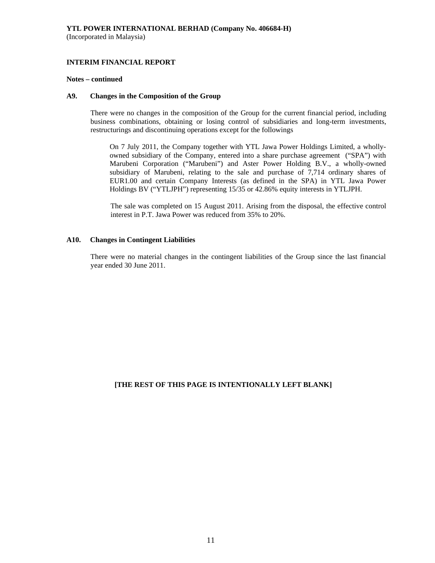## **INTERIM FINANCIAL REPORT**

#### **Notes – continued**

#### **A9. Changes in the Composition of the Group**

 There were no changes in the composition of the Group for the current financial period, including business combinations, obtaining or losing control of subsidiaries and long-term investments, restructurings and discontinuing operations except for the followings

 On 7 July 2011, the Company together with YTL Jawa Power Holdings Limited, a whollyowned subsidiary of the Company, entered into a share purchase agreement ("SPA") with Marubeni Corporation ("Marubeni") and Aster Power Holding B.V., a wholly-owned subsidiary of Marubeni, relating to the sale and purchase of 7,714 ordinary shares of EUR1.00 and certain Company Interests (as defined in the SPA) in YTL Jawa Power Holdings BV ("YTLJPH") representing 15/35 or 42.86% equity interests in YTLJPH.

 The sale was completed on 15 August 2011. Arising from the disposal, the effective control interest in P.T. Jawa Power was reduced from 35% to 20%.

#### **A10. Changes in Contingent Liabilities**

There were no material changes in the contingent liabilities of the Group since the last financial year ended 30 June 2011.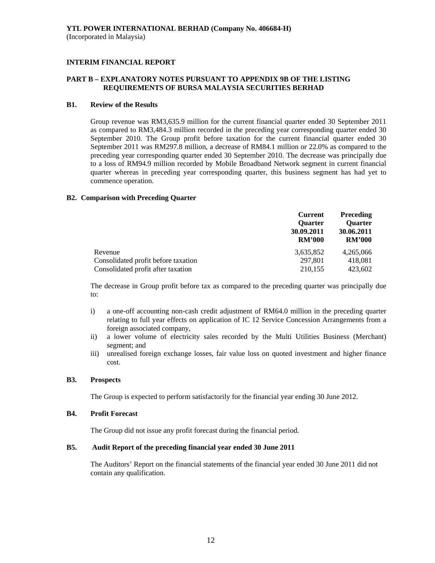## **PART B – EXPLANATORY NOTES PURSUANT TO APPENDIX 9B OF THE LISTING REQUIREMENTS OF BURSA MALAYSIA SECURITIES BERHAD**

#### **B1. Review of the Results**

 Group revenue was RM3,635.9 million for the current financial quarter ended 30 September 2011 as compared to RM3,484.3 million recorded in the preceding year corresponding quarter ended 30 September 2010. The Group profit before taxation for the current financial quarter ended 30 September 2011 was RM297.8 million, a decrease of RM84.1 million or 22.0% as compared to the preceding year corresponding quarter ended 30 September 2010. The decrease was principally due to a loss of RM94.9 million recorded by Mobile Broadband Network segment in current financial quarter whereas in preceding year corresponding quarter, this business segment has had yet to commence operation.

#### **B2. Comparison with Preceding Quarter**

|                                     | <b>Current</b>              | <b>Preceding</b>            |
|-------------------------------------|-----------------------------|-----------------------------|
|                                     | <b>Ouarter</b>              | <b>Ouarter</b>              |
|                                     | 30.09.2011<br><b>RM'000</b> | 30.06.2011<br><b>RM'000</b> |
|                                     |                             |                             |
| Revenue                             | 3,635,852                   | 4,265,066                   |
| Consolidated profit before taxation | 297,801                     | 418,081                     |
| Consolidated profit after taxation  | 210,155                     | 423,602                     |

The decrease in Group profit before tax as compared to the preceding quarter was principally due to:

- i) a one-off accounting non-cash credit adjustment of RM64.0 million in the preceding quarter relating to full year effects on application of IC 12 Service Concession Arrangements from a foreign associated company,
- ii) a lower volume of electricity sales recorded by the Multi Utilities Business (Merchant) segment; and
- iii) unrealised foreign exchange losses, fair value loss on quoted investment and higher finance cost.

## **B3. Prospects**

The Group is expected to perform satisfactorily for the financial year ending 30 June 2012.

#### **B4. Profit Forecast**

The Group did not issue any profit forecast during the financial period.

## **B5. Audit Report of the preceding financial year ended 30 June 2011**

 The Auditors' Report on the financial statements of the financial year ended 30 June 2011 did not contain any qualification.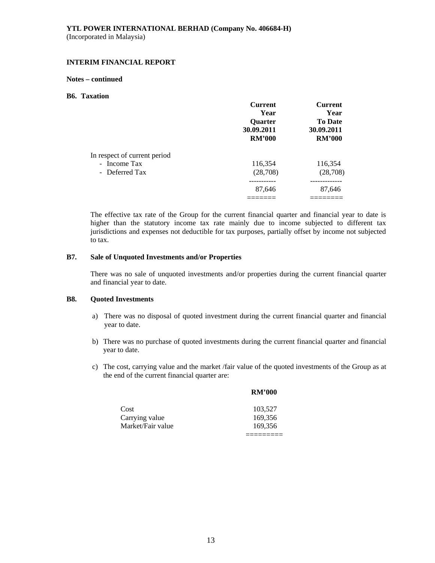## **INTERIM FINANCIAL REPORT**

#### **Notes – continued**

#### **B6. Taxation**

|                              | <b>Current</b><br>Year<br>Quarter<br>30.09.2011<br><b>RM'000</b> | <b>Current</b><br>Year<br><b>To Date</b><br>30.09.2011<br><b>RM'000</b> |
|------------------------------|------------------------------------------------------------------|-------------------------------------------------------------------------|
| In respect of current period |                                                                  |                                                                         |
| - Income Tax                 | 116,354                                                          | 116,354                                                                 |
| - Deferred Tax               | (28,708)                                                         | (28, 708)                                                               |
|                              | ---------                                                        | ----------                                                              |
|                              | 87,646                                                           | 87,646                                                                  |
|                              |                                                                  |                                                                         |

The effective tax rate of the Group for the current financial quarter and financial year to date is higher than the statutory income tax rate mainly due to income subjected to different tax jurisdictions and expenses not deductible for tax purposes, partially offset by income not subjected to tax.

#### **B7. Sale of Unquoted Investments and/or Properties**

There was no sale of unquoted investments and/or properties during the current financial quarter and financial year to date.

## **B8. Quoted Investments**

- a) There was no disposal of quoted investment during the current financial quarter and financial year to date.
- b) There was no purchase of quoted investments during the current financial quarter and financial year to date.
- c) The cost, carrying value and the market /fair value of the quoted investments of the Group as at the end of the current financial quarter are:

 **RM'000** 

| Cost              | 103,527 |
|-------------------|---------|
| Carrying value    | 169,356 |
| Market/Fair value | 169.356 |
|                   |         |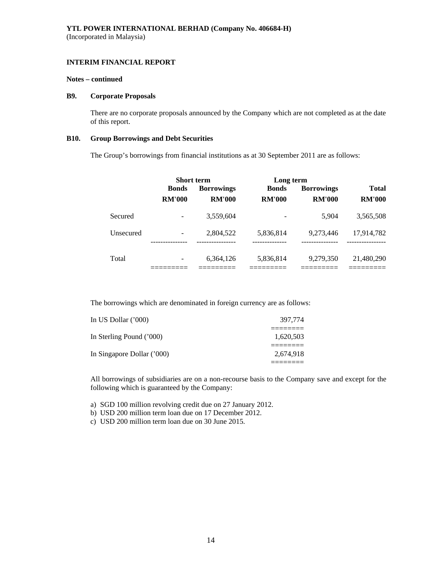#### **Notes – continued**

#### **B9. Corporate Proposals**

There are no corporate proposals announced by the Company which are not completed as at the date of this report.

#### **B10. Group Borrowings and Debt Securities**

The Group's borrowings from financial institutions as at 30 September 2011 are as follows:

|           | <b>Short term</b> |                           | Long term                |                          |                            |
|-----------|-------------------|---------------------------|--------------------------|--------------------------|----------------------------|
|           | <b>Bonds</b>      | <b>Borrowings</b>         | <b>Bonds</b>             | <b>Borrowings</b>        | <b>Total</b>               |
|           | <b>RM'000</b>     | <b>RM'000</b>             | <b>RM'000</b>            | <b>RM'000</b>            | <b>RM'000</b>              |
| Secured   |                   | 3,559,604                 |                          | 5.904                    | 3,565,508                  |
| Unsecured | ------------      | 2,804,522<br>------------ | 5,836,814<br>----------- | 9.273.446<br>----------- | 17,914,782<br>------------ |
| Total     |                   | 6,364,126                 | 5,836,814                | 9,279,350                | 21,480,290                 |

The borrowings which are denominated in foreign currency are as follows:

| 397,774   |
|-----------|
| 1,620,503 |
| 2.674.918 |
|           |

All borrowings of subsidiaries are on a non-recourse basis to the Company save and except for the following which is guaranteed by the Company:

a) SGD 100 million revolving credit due on 27 January 2012.

b) USD 200 million term loan due on 17 December 2012.

c) USD 200 million term loan due on 30 June 2015.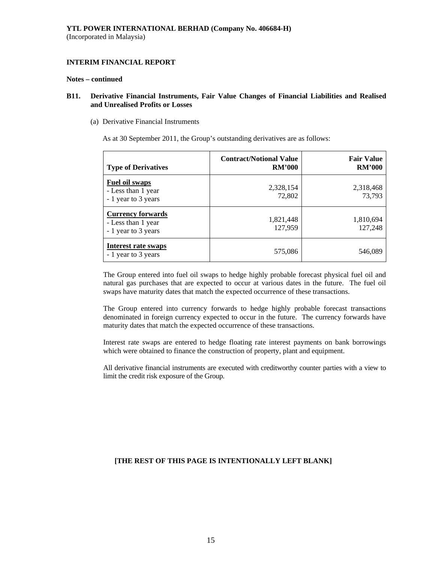#### **Notes – continued**

## **B11. Derivative Financial Instruments, Fair Value Changes of Financial Liabilities and Realised and Unrealised Profits or Losses**

(a) Derivative Financial Instruments

As at 30 September 2011, the Group's outstanding derivatives are as follows:

| <b>Type of Derivatives</b>                                            | <b>Contract/Notional Value</b><br><b>RM'000</b> | <b>Fair Value</b><br><b>RM'000</b> |
|-----------------------------------------------------------------------|-------------------------------------------------|------------------------------------|
| Fuel oil swaps<br>- Less than 1 year<br>- 1 year to 3 years           | 2,328,154<br>72,802                             | 2,318,468<br>73,793                |
| <b>Currency forwards</b><br>- Less than 1 year<br>- 1 year to 3 years | 1,821,448<br>127,959                            | 1,810,694<br>127,248               |
| <b>Interest rate swaps</b><br>- 1 year to 3 years                     | 575,086                                         | 546,089                            |

The Group entered into fuel oil swaps to hedge highly probable forecast physical fuel oil and natural gas purchases that are expected to occur at various dates in the future. The fuel oil swaps have maturity dates that match the expected occurrence of these transactions.

The Group entered into currency forwards to hedge highly probable forecast transactions denominated in foreign currency expected to occur in the future. The currency forwards have maturity dates that match the expected occurrence of these transactions.

Interest rate swaps are entered to hedge floating rate interest payments on bank borrowings which were obtained to finance the construction of property, plant and equipment.

All derivative financial instruments are executed with creditworthy counter parties with a view to limit the credit risk exposure of the Group.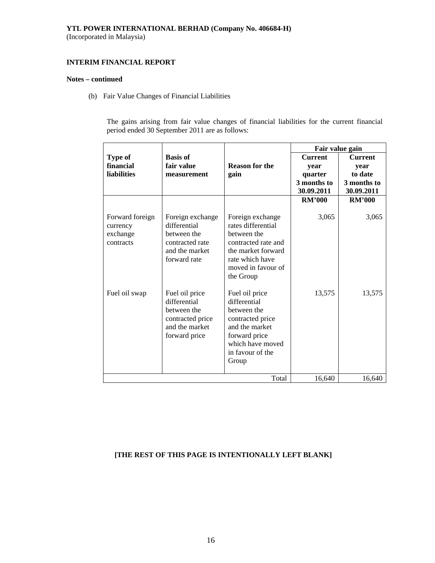## **YTL POWER INTERNATIONAL BERHAD (Company No. 406684-H)**

(Incorporated in Malaysia)

#### **INTERIM FINANCIAL REPORT**

#### **Notes – continued**

(b) Fair Value Changes of Financial Liabilities

The gains arising from fair value changes of financial liabilities for the current financial period ended 30 September 2011 are as follows:

|                                                      |                                                                                                      |                                                                                                                                                          | Fair value gain        |                        |
|------------------------------------------------------|------------------------------------------------------------------------------------------------------|----------------------------------------------------------------------------------------------------------------------------------------------------------|------------------------|------------------------|
| Type of                                              | <b>Basis of</b>                                                                                      |                                                                                                                                                          | <b>Current</b>         | <b>Current</b>         |
| financial                                            | fair value                                                                                           | <b>Reason for the</b>                                                                                                                                    | year                   | year                   |
| <b>liabilities</b>                                   | measurement                                                                                          | gain                                                                                                                                                     | quarter<br>3 months to | to date<br>3 months to |
|                                                      |                                                                                                      |                                                                                                                                                          | 30.09.2011             | 30.09.2011             |
|                                                      |                                                                                                      |                                                                                                                                                          | <b>RM'000</b>          | <b>RM'000</b>          |
| Forward foreign<br>currency<br>exchange<br>contracts | Foreign exchange<br>differential<br>between the<br>contracted rate<br>and the market<br>forward rate | Foreign exchange<br>rates differential<br>between the<br>contracted rate and<br>the market forward<br>rate which have<br>moved in favour of<br>the Group | 3,065                  | 3,065                  |
| Fuel oil swap                                        | Fuel oil price<br>differential<br>between the<br>contracted price<br>and the market<br>forward price | Fuel oil price<br>differential<br>between the<br>contracted price<br>and the market<br>forward price<br>which have moved<br>in favour of the<br>Group    | 13,575                 | 13,575                 |
| Total                                                |                                                                                                      |                                                                                                                                                          | 16,640                 | 16,640                 |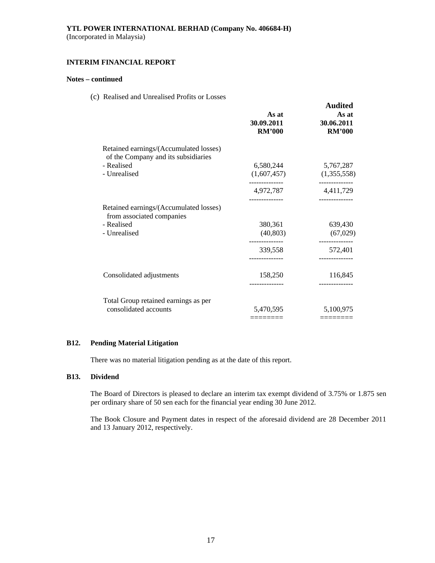#### **INTERIM FINANCIAL REPORT**

## **Notes – continued**

(c) Realised and Unrealised Profits or Losses

|                                                                               | As at<br>30.09.2011<br><b>RM'000</b> | <b>Audited</b><br>As at<br>30.06.2011<br><b>RM'000</b> |
|-------------------------------------------------------------------------------|--------------------------------------|--------------------------------------------------------|
| Retained earnings/(Accumulated losses)<br>of the Company and its subsidiaries |                                      |                                                        |
| - Realised                                                                    | 6,580,244                            | 5,767,287                                              |
| - Unrealised                                                                  | (1,607,457)                          | (1,355,558)                                            |
|                                                                               | -------------<br>4,972,787           | ------------<br>4,411,729                              |
| Retained earnings/(Accumulated losses)<br>from associated companies           |                                      |                                                        |
| - Realised                                                                    | 380,361                              | 639,430                                                |
| - Unrealised                                                                  | (40, 803)                            | (67, 029)                                              |
|                                                                               | 339,558                              | ------------<br>572,401                                |
|                                                                               |                                      |                                                        |
| Consolidated adjustments                                                      | 158,250                              | 116,845                                                |
|                                                                               |                                      |                                                        |
| Total Group retained earnings as per                                          |                                      |                                                        |
| consolidated accounts                                                         | 5,470,595                            | 5,100,975                                              |
|                                                                               | =======                              |                                                        |

## **B12. Pending Material Litigation**

There was no material litigation pending as at the date of this report.

#### **B13. Dividend**

The Board of Directors is pleased to declare an interim tax exempt dividend of 3.75% or 1.875 sen per ordinary share of 50 sen each for the financial year ending 30 June 2012.

 The Book Closure and Payment dates in respect of the aforesaid dividend are 28 December 2011 and 13 January 2012, respectively.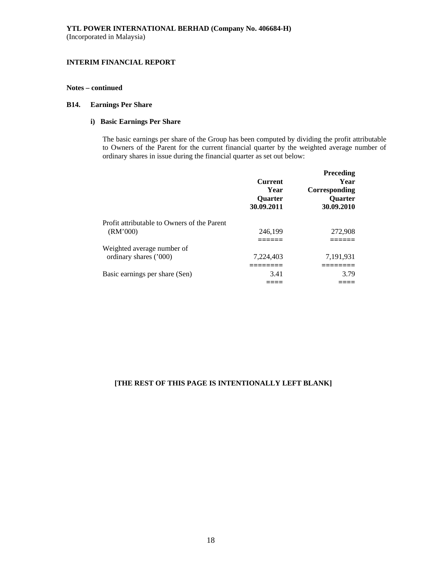## **Notes – continued**

## **B14. Earnings Per Share**

## **i) Basic Earnings Per Share**

The basic earnings per share of the Group has been computed by dividing the profit attributable to Owners of the Parent for the current financial quarter by the weighted average number of ordinary shares in issue during the financial quarter as set out below:

|                                                         | <b>Current</b><br>Year<br>Quarter<br>30.09.2011 | Preceding<br>Year<br>Corresponding<br><b>Ouarter</b><br>30.09.2010 |
|---------------------------------------------------------|-------------------------------------------------|--------------------------------------------------------------------|
| Profit attributable to Owners of the Parent<br>(RM'000) | 246,199                                         | 272,908                                                            |
|                                                         |                                                 |                                                                    |
| Weighted average number of                              |                                                 |                                                                    |
| ordinary shares ('000)                                  | 7,224,403                                       | 7,191,931                                                          |
|                                                         |                                                 |                                                                    |
| Basic earnings per share (Sen)                          | 3.41                                            | 3.79                                                               |
|                                                         |                                                 |                                                                    |